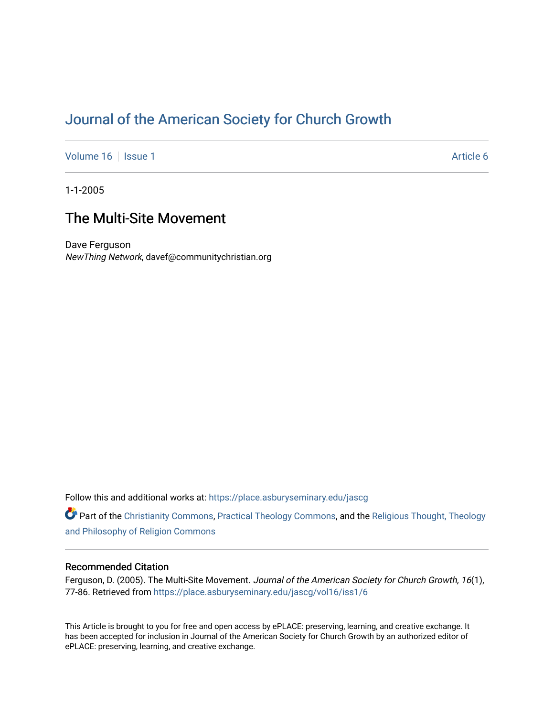# [Journal of the American Society for Church Growth](https://place.asburyseminary.edu/jascg)

[Volume 16](https://place.asburyseminary.edu/jascg/vol16) | [Issue 1](https://place.asburyseminary.edu/jascg/vol16/iss1) Article 6

1-1-2005

# The Multi-Site Movement

Dave Ferguson NewThing Network, davef@communitychristian.org

Follow this and additional works at: [https://place.asburyseminary.edu/jascg](https://place.asburyseminary.edu/jascg?utm_source=place.asburyseminary.edu%2Fjascg%2Fvol16%2Fiss1%2F6&utm_medium=PDF&utm_campaign=PDFCoverPages)

Part of the [Christianity Commons,](https://network.bepress.com/hgg/discipline/1181?utm_source=place.asburyseminary.edu%2Fjascg%2Fvol16%2Fiss1%2F6&utm_medium=PDF&utm_campaign=PDFCoverPages) [Practical Theology Commons](https://network.bepress.com/hgg/discipline/1186?utm_source=place.asburyseminary.edu%2Fjascg%2Fvol16%2Fiss1%2F6&utm_medium=PDF&utm_campaign=PDFCoverPages), and the [Religious Thought, Theology](https://network.bepress.com/hgg/discipline/544?utm_source=place.asburyseminary.edu%2Fjascg%2Fvol16%2Fiss1%2F6&utm_medium=PDF&utm_campaign=PDFCoverPages)  [and Philosophy of Religion Commons](https://network.bepress.com/hgg/discipline/544?utm_source=place.asburyseminary.edu%2Fjascg%2Fvol16%2Fiss1%2F6&utm_medium=PDF&utm_campaign=PDFCoverPages)

# Recommended Citation

Ferguson, D. (2005). The Multi-Site Movement. Journal of the American Society for Church Growth, 16(1), 77-86. Retrieved from [https://place.asburyseminary.edu/jascg/vol16/iss1/6](https://place.asburyseminary.edu/jascg/vol16/iss1/6?utm_source=place.asburyseminary.edu%2Fjascg%2Fvol16%2Fiss1%2F6&utm_medium=PDF&utm_campaign=PDFCoverPages) 

This Article is brought to you for free and open access by ePLACE: preserving, learning, and creative exchange. It has been accepted for inclusion in Journal of the American Society for Church Growth by an authorized editor of ePLACE: preserving, learning, and creative exchange.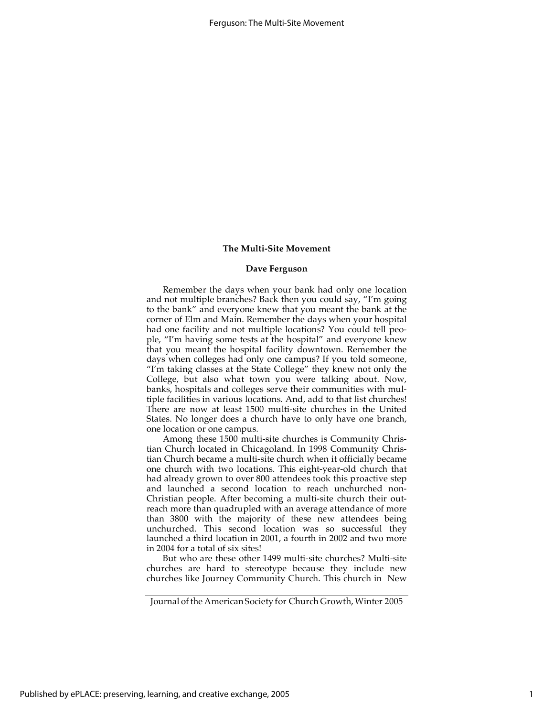#### **Dave Ferguson**

Remember the days when your bank had only one location and not multiple branches? Back then you could say, "I'm going to the bank" and everyone knew that you meant the bank at the corner of Elm and Main. Remember the days when your hospital had one facility and not multiple locations? You could tell people, "I'm having some tests at the hospital" and everyone knew that you meant the hospital facility downtown. Remember the days when colleges had only one campus? If you told someone, "I'm taking classes at the State College" they knew not only the College, but also what town you were talking about. Now, banks, hospitals and colleges serve their communities with multiple facilities in various locations. And, add to that list churches! There are now at least 1500 multi-site churches in the United States. No longer does a church have to only have one branch, one location or one campus.

Among these 1500 multi-site churches is Community Christian Church located in Chicagoland. In 1998 Community Christian Church became a multi-site church when it officially became one church with two locations. This eight-year-old church that had already grown to over 800 attendees took this proactive step and launched a second location to reach unchurched non-Christian people. After becoming a multi-site church their outreach more than quadrupled with an average attendance of more than 3800 with the majority of these new attendees being unchurched. This second location was so successful they launched a third location in 2001, a fourth in 2002 and two more in 2004 for a total of six sites!

But who are these other 1499 multi-site churches? Multi-site churches are hard to stereotype because they include new churches like Journey Community Church. This church in New

Journal of the American Society for Church Growth, Winter 2005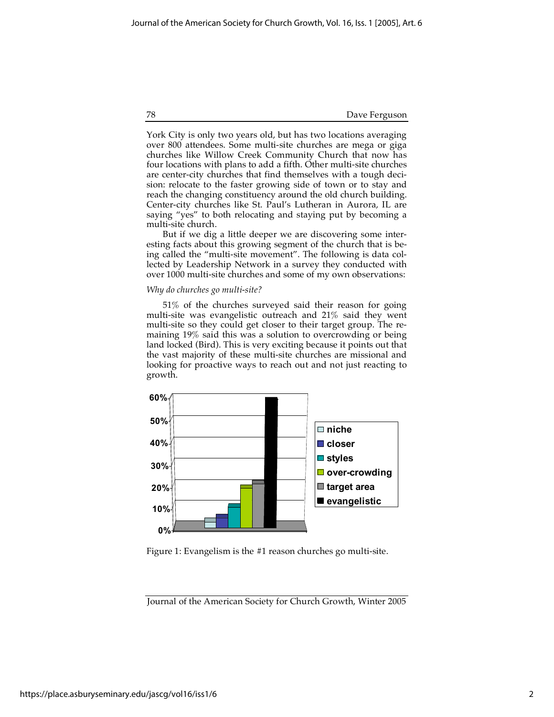78 Dave Ferguson

York City is only two years old, but has two locations averaging over 800 attendees. Some multi-site churches are mega or giga churches like Willow Creek Community Church that now has four locations with plans to add a fifth. Other multi-site churches are center-city churches that find themselves with a tough decision: relocate to the faster growing side of town or to stay and reach the changing constituency around the old church building. Center-city churches like St. Paul's Lutheran in Aurora, IL are saying "yes" to both relocating and staying put by becoming a multi-site church.

But if we dig a little deeper we are discovering some interesting facts about this growing segment of the church that is being called the "multi-site movement". The following is data collected by Leadership Network in a survey they conducted with over 1000 multi-site churches and some of my own observations:

#### *Why do churches go multi-site?*

51% of the churches surveyed said their reason for going multi-site was evangelistic outreach and 21% said they went multi-site so they could get closer to their target group. The remaining 19% said this was a solution to overcrowding or being land locked (Bird). This is very exciting because it points out that the vast majority of these multi-site churches are missional and looking for proactive ways to reach out and not just reacting to growth.



Figure 1: Evangelism is the #1 reason churches go multi-site.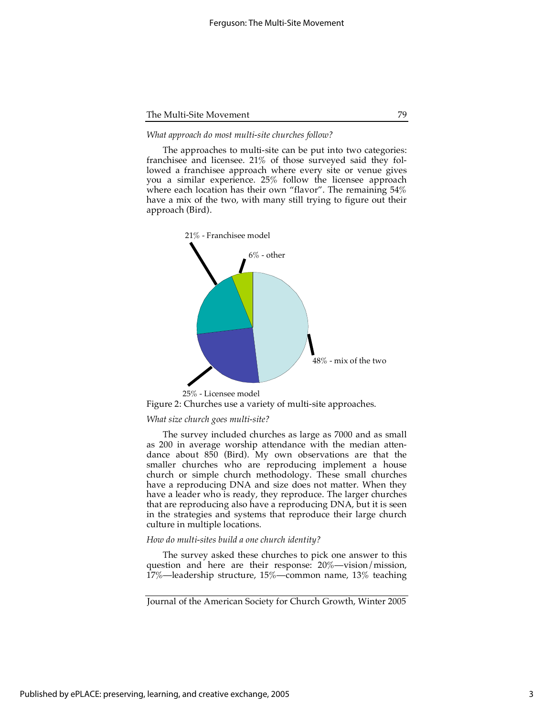#### *What approach do most multi-site churches follow?*

The approaches to multi-site can be put into two categories: franchisee and licensee. 21% of those surveyed said they followed a franchisee approach where every site or venue gives you a similar experience. 25% follow the licensee approach where each location has their own "flavor". The remaining 54% have a mix of the two, with many still trying to figure out their approach (Bird).



Figure 2: Churches use a variety of multi-site approaches.

# *What size church goes multi-site?*

The survey included churches as large as 7000 and as small as 200 in average worship attendance with the median attendance about 850 (Bird). My own observations are that the smaller churches who are reproducing implement a house church or simple church methodology. These small churches have a reproducing DNA and size does not matter. When they have a leader who is ready, they reproduce. The larger churches that are reproducing also have a reproducing DNA, but it is seen in the strategies and systems that reproduce their large church culture in multiple locations.

#### *How do multi-sites build a one church identity?*

The survey asked these churches to pick one answer to this question and here are their response: 20%—vision/mission, 17%—leadership structure, 15%—common name, 13% teaching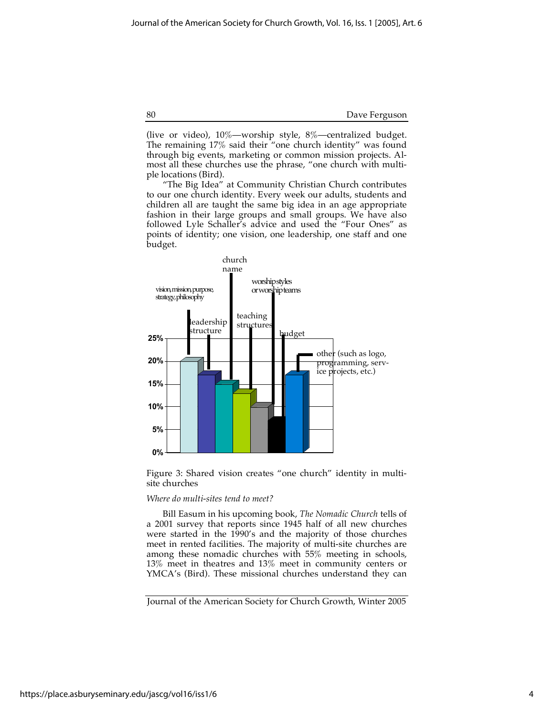(live or video), 10%—worship style, 8%—centralized budget. The remaining 17% said their "one church identity" was found through big events, marketing or common mission projects. Almost all these churches use the phrase, "one church with multiple locations (Bird).

"The Big Idea" at Community Christian Church contributes to our one church identity. Every week our adults, students and children all are taught the same big idea in an age appropriate fashion in their large groups and small groups. We have also followed Lyle Schaller's advice and used the "Four Ones" as points of identity; one vision, one leadership, one staff and one budget.



Figure 3: Shared vision creates "one church" identity in multisite churches

#### *Where do multi-sites tend to meet?*

Bill Easum in his upcoming book, *The Nomadic Church* tells of a 2001 survey that reports since 1945 half of all new churches were started in the 1990's and the majority of those churches meet in rented facilities. The majority of multi-site churches are among these nomadic churches with 55% meeting in schools, 13% meet in theatres and 13% meet in community centers or YMCA's (Bird). These missional churches understand they can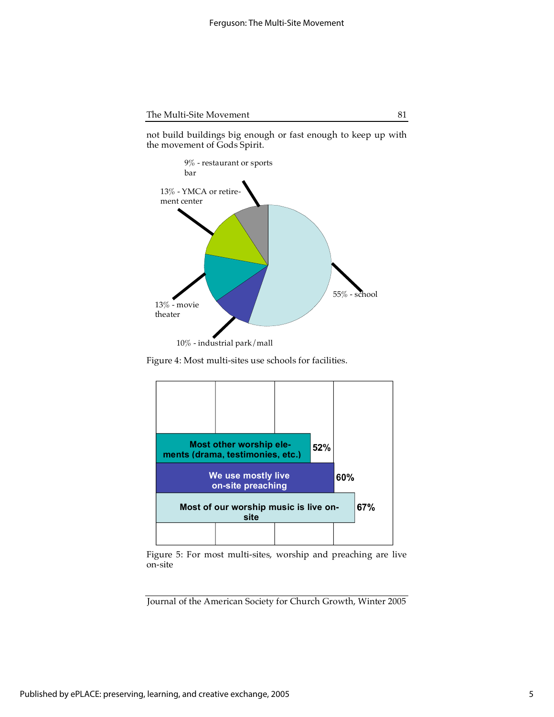not build buildings big enough or fast enough to keep up with the movement of Gods Spirit.



Figure 4: Most multi-sites use schools for facilities.



Figure 5: For most multi-sites, worship and preaching are live on-site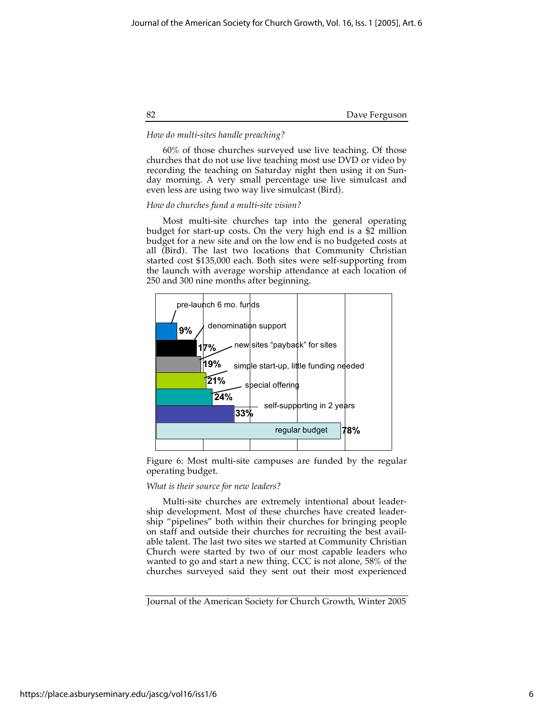82 Dave Ferguson

# *How do multi-sites handle preaching?*

60% of those churches surveyed use live teaching. Of those churches that do not use live teaching most use DVD or video by recording the teaching on Saturday night then using it on Sunday morning. A very small percentage use live simulcast and even less are using two way live simulcast (Bird).

#### *How do churches fund a multi-site vision?*

Most multi-site churches tap into the general operating budget for start-up costs. On the very high end is a \$2 million budget for a new site and on the low end is no budgeted costs at all (Bird). The last two locations that Community Christian started cost \$135,000 each. Both sites were self-supporting from the launch with average worship attendance at each location of 250 and 300 nine months after beginning.



Figure 6: Most multi-site campuses are funded by the regular operating budget.

#### *What is their source for new leaders?*

Multi-site churches are extremely intentional about leadership development. Most of these churches have created leadership "pipelines" both within their churches for bringing people on staff and outside their churches for recruiting the best available talent. The last two sites we started at Community Christian Church were started by two of our most capable leaders who wanted to go and start a new thing. CCC is not alone, 58% of the churches surveyed said they sent out their most experienced

Journal of the American Society for Church Growth, Winter 2005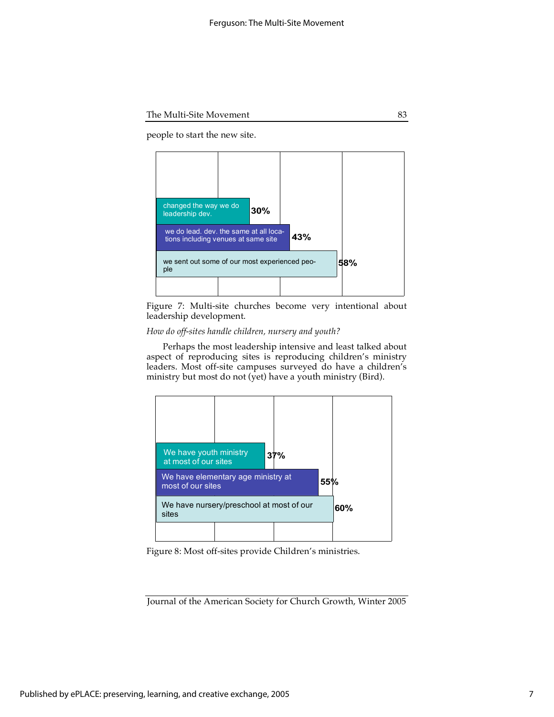people to start the new site.



Figure 7: Multi-site churches become very intentional about leadership development.

# *How do off-sites handle children, nursery and youth?*

Perhaps the most leadership intensive and least talked about aspect of reproducing sites is reproducing children's ministry leaders. Most off-site campuses surveyed do have a children's ministry but most do not (yet) have a youth ministry (Bird).



Figure 8: Most off-sites provide Children's ministries.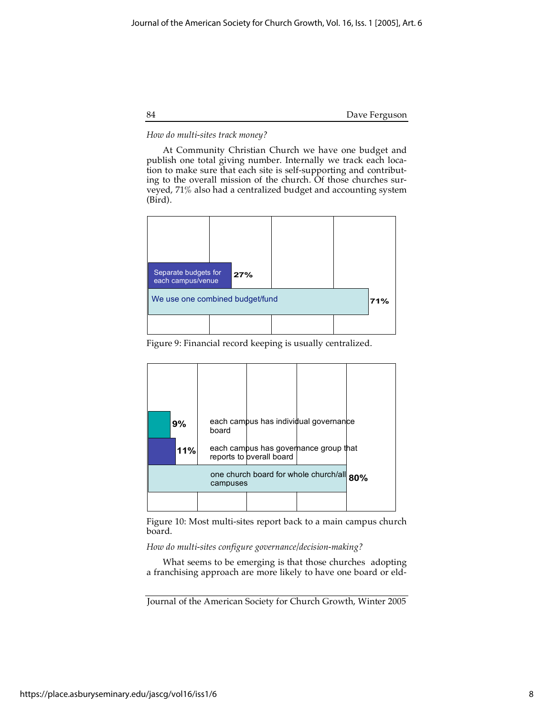84 Dave Ferguson

# *How do multi-sites track money?*

At Community Christian Church we have one budget and publish one total giving number. Internally we track each location to make sure that each site is self-supporting and contributing to the overall mission of the church. Of those churches surveyed, 71% also had a centralized budget and accounting system (Bird).



Figure 9: Financial record keeping is usually centralized.

|                                                       | 9%  | board | each campus has individual governance                             |  |  |
|-------------------------------------------------------|-----|-------|-------------------------------------------------------------------|--|--|
|                                                       | 11% |       | each campus has governance group that<br>reports to overall board |  |  |
| one church board for whole church/all 80%<br>campuses |     |       |                                                                   |  |  |
|                                                       |     |       |                                                                   |  |  |

Figure 10: Most multi-sites report back to a main campus church board.

# *How do multi-sites configure governance/decision-making?*

What seems to be emerging is that those churches adopting a franchising approach are more likely to have one board or eld-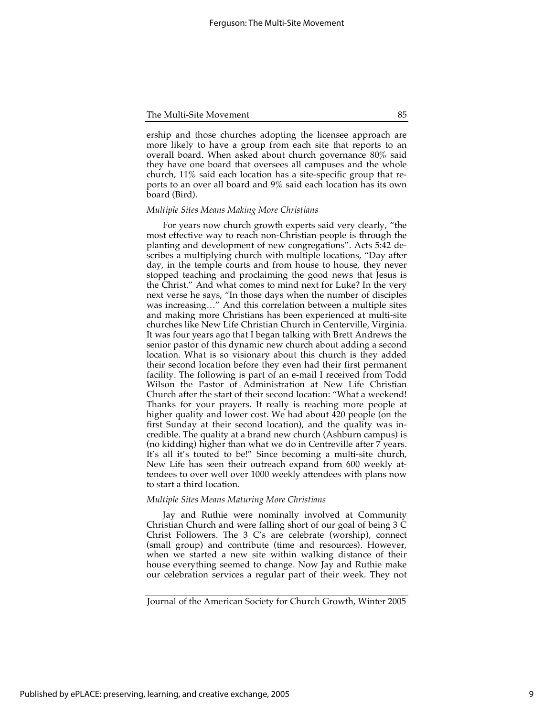ership and those churches adopting the licensee approach are more likely to have a group from each site that reports to an overall board. When asked about church governance 80% said they have one board that oversees all campuses and the whole church, 11% said each location has a site-specific group that reports to an over all board and 9% said each location has its own board (Bird).

# *Multiple Sites Means Making More Christians*

For years now church growth experts said very clearly, "the most effective way to reach non-Christian people is through the planting and development of new congregations". Acts 5:42 describes a multiplying church with multiple locations, "Day after day, in the temple courts and from house to house, they never stopped teaching and proclaiming the good news that Jesus is the Christ." And what comes to mind next for Luke? In the very next verse he says, "In those days when the number of disciples was increasing…" And this correlation between a multiple sites and making more Christians has been experienced at multi-site churches like New Life Christian Church in Centerville, Virginia. It was four years ago that I began talking with Brett Andrews the senior pastor of this dynamic new church about adding a second location. What is so visionary about this church is they added their second location before they even had their first permanent facility. The following is part of an e-mail I received from Todd Wilson the Pastor of Administration at New Life Christian Church after the start of their second location: "What a weekend! Thanks for your prayers. It really is reaching more people at higher quality and lower cost. We had about 420 people (on the first Sunday at their second location), and the quality was incredible. The quality at a brand new church (Ashburn campus) is (no kidding) higher than what we do in Centreville after 7 years. It's all it's touted to be!" Since becoming a multi-site church, New Life has seen their outreach expand from 600 weekly attendees to over well over 1000 weekly attendees with plans now to start a third location.

#### *Multiple Sites Means Maturing More Christians*

Jay and Ruthie were nominally involved at Community Christian Church and were falling short of our goal of being 3 C Christ Followers. The 3 C's are celebrate (worship), connect (small group) and contribute (time and resources). However, when we started a new site within walking distance of their house everything seemed to change. Now Jay and Ruthie make our celebration services a regular part of their week. They not

Journal of the American Society for Church Growth, Winter 2005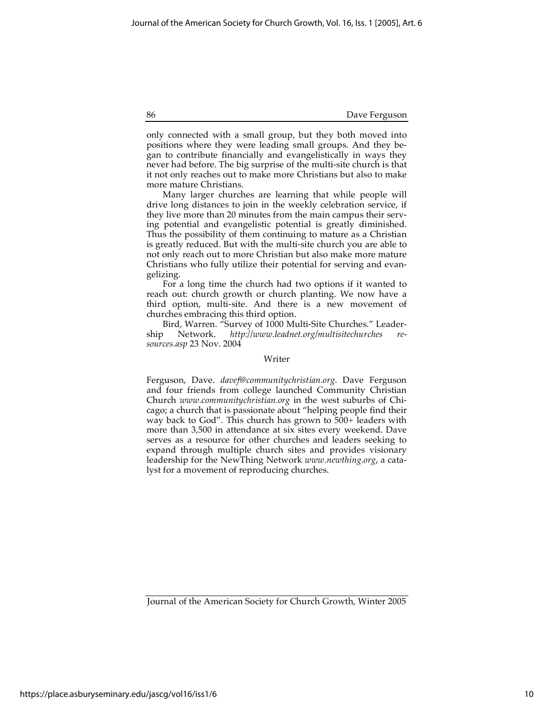only connected with a small group, but they both moved into positions where they were leading small groups. And they began to contribute financially and evangelistically in ways they never had before. The big surprise of the multi-site church is that it not only reaches out to make more Christians but also to make more mature Christians.

Many larger churches are learning that while people will drive long distances to join in the weekly celebration service, if they live more than 20 minutes from the main campus their serving potential and evangelistic potential is greatly diminished. Thus the possibility of them continuing to mature as a Christian is greatly reduced. But with the multi-site church you are able to not only reach out to more Christian but also make more mature Christians who fully utilize their potential for serving and evangelizing.

For a long time the church had two options if it wanted to reach out: church growth or church planting. We now have a third option, multi-site. And there is a new movement of churches embracing this third option.

Bird, Warren. "Survey of 1000 Multi-Site Churches." Leadership Network. *http://www.leadnet.org/multisitechurches resources.asp* 23 Nov. 2004

### Writer

Ferguson, Dave. *davef@communitychristian.org*. Dave Ferguson and four friends from college launched Community Christian Church *www.communitychristian.org* in the west suburbs of Chicago; a church that is passionate about "helping people find their way back to God". This church has grown to 500+ leaders with more than 3,500 in attendance at six sites every weekend. Dave serves as a resource for other churches and leaders seeking to expand through multiple church sites and provides visionary leadership for the NewThing Network *www.newthing.org*, a catalyst for a movement of reproducing churches.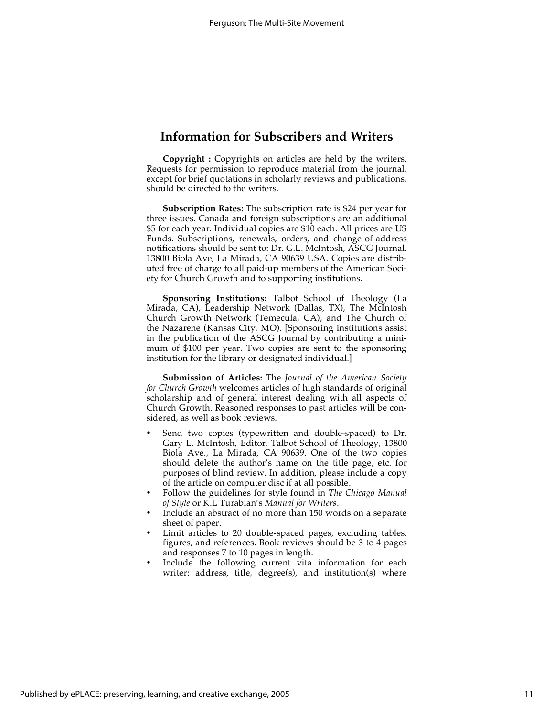# **Information for Subscribers and Writers**

**Copyright :** Copyrights on articles are held by the writers. Requests for permission to reproduce material from the journal, except for brief quotations in scholarly reviews and publications, should be directed to the writers.

**Subscription Rates:** The subscription rate is \$24 per year for three issues. Canada and foreign subscriptions are an additional \$5 for each year. Individual copies are \$10 each. All prices are US Funds. Subscriptions, renewals, orders, and change-of-address notifications should be sent to: Dr. G.L. McIntosh, ASCG Journal, 13800 Biola Ave, La Mirada, CA 90639 USA. Copies are distributed free of charge to all paid-up members of the American Society for Church Growth and to supporting institutions.

**Sponsoring Institutions:** Talbot School of Theology (La Mirada, CA), Leadership Network (Dallas, TX), The McIntosh Church Growth Network (Temecula, CA), and The Church of the Nazarene (Kansas City, MO). [Sponsoring institutions assist in the publication of the ASCG Journal by contributing a minimum of \$100 per year. Two copies are sent to the sponsoring institution for the library or designated individual.]

**Submission of Articles:** The *Journal of the American Society for Church Growth* welcomes articles of high standards of original scholarship and of general interest dealing with all aspects of Church Growth. Reasoned responses to past articles will be considered, as well as book reviews.

- Send two copies (typewritten and double-spaced) to Dr. Gary L. McIntosh, Editor, Talbot School of Theology, 13800 Biola Ave., La Mirada, CA 90639. One of the two copies should delete the author's name on the title page, etc. for purposes of blind review. In addition, please include a copy of the article on computer disc if at all possible.
- Follow the guidelines for style found in *The Chicago Manual of Style* or K.L Turabian's *Manual for Writers*.
- Include an abstract of no more than 150 words on a separate sheet of paper.
- Limit articles to 20 double-spaced pages, excluding tables, figures, and references. Book reviews should be 3 to 4 pages and responses 7 to 10 pages in length.
- Include the following current vita information for each writer: address, title, degree(s), and institution(s) where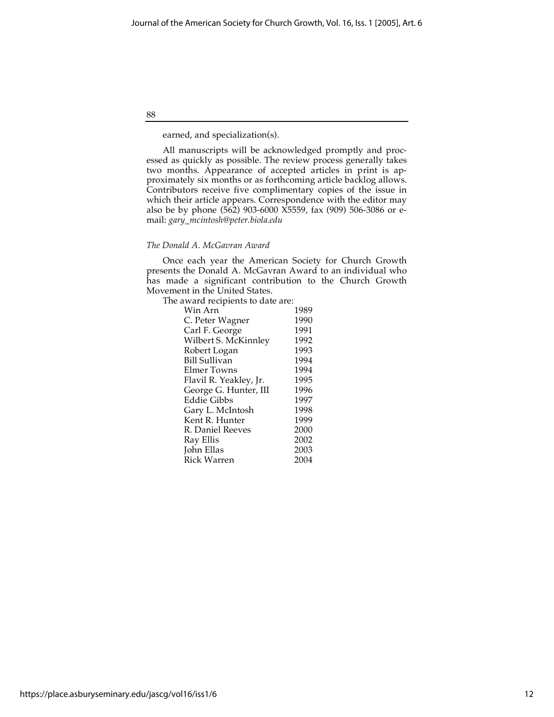earned, and specialization(s).

88

All manuscripts will be acknowledged promptly and processed as quickly as possible. The review process generally takes two months. Appearance of accepted articles in print is approximately six months or as forthcoming article backlog allows. Contributors receive five complimentary copies of the issue in which their article appears. Correspondence with the editor may also be by phone (562) 903-6000 X5559, fax (909) 506-3086 or email: *gary\_mcintosh@peter.biola.edu*

# *The Donald A. McGavran Award*

Once each year the American Society for Church Growth presents the Donald A. McGavran Award to an individual who has made a significant contribution to the Church Growth Movement in the United States.

The award recipients to date are:

| 1989 |
|------|
| 1990 |
| 1991 |
| 1992 |
| 1993 |
| 1994 |
| 1994 |
| 1995 |
| 1996 |
| 1997 |
| 1998 |
| 1999 |
| 2000 |
| 2002 |
| 2003 |
| 2004 |
|      |